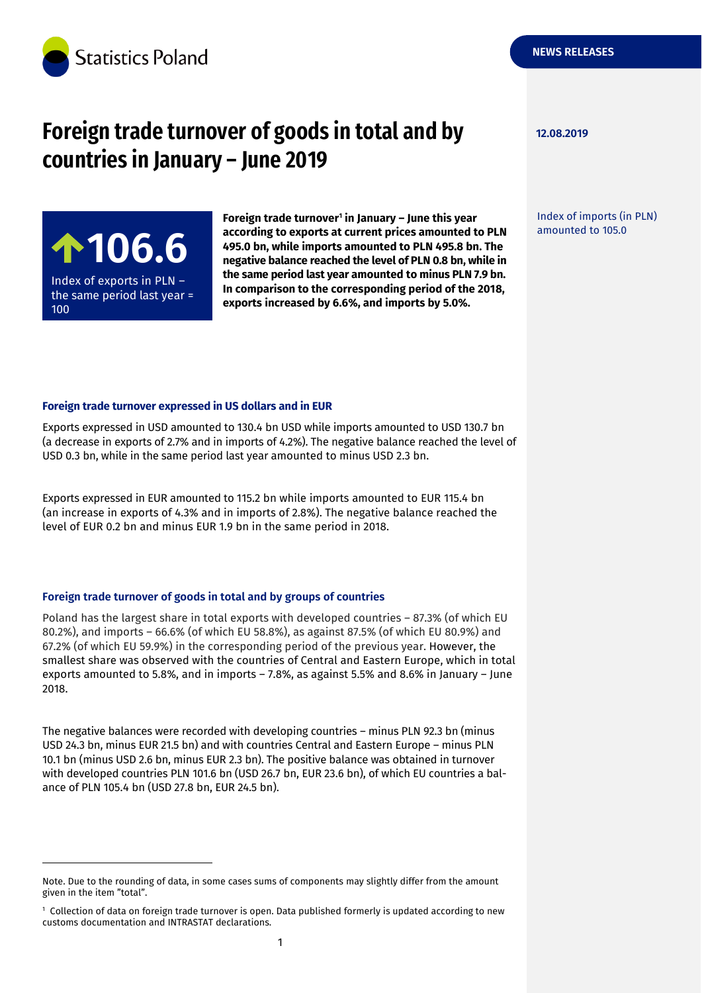

# **Foreign trade turnover of goods in total and by 12.08.2019 countries in January – June 2019**

Index of exports in PLN – the same period last year = 100

-

**Foreign trade turnover<sup>1</sup> in January – June this year according to exports at current prices amounted to PLN 495.0 bn, while imports amounted to PLN 495.8 bn. The negative balance reached the level of PLN 0.8 bn, while in the same period last year amounted to minus PLN 7.9 bn. In comparison to the corresponding period of the 2018, exports increased by 6.6%, and imports by 5.0%.** according to exports at current prices amounted to PLN amounted to 105.0<br>495.0 bn, while imports amounted to PLN 495.8 bn. The<br>negative balance reached the level of PLN 0.8 bn, while in

**NEWS RELEASES**

Index of imports (in PLN)

#### **Foreign trade turnover expressed in US dollars and in EUR**

Exports expressed in USD amounted to 130.4 bn USD while imports amounted to USD 130.7 bn (a decrease in exports of 2.7% and in imports of 4.2%). The negative balance reached the level of USD 0.3 bn, while in the same period last year amounted to minus USD 2.3 bn.

Exports expressed in EUR amounted to 115.2 bn while imports amounted to EUR 115.4 bn (an increase in exports of 4.3% and in imports of 2.8%). The negative balance reached the level of EUR 0.2 bn and minus EUR 1.9 bn in the same period in 2018.

#### **Foreign trade turnover of goods in total and by groups of countries**

Poland has the largest share in total exports with developed countries – 87.3% (of which EU 80.2%), and imports – 66.6% (of which EU 58.8%), as against 87.5% (of which EU 80.9%) and 67.2% (of which EU 59.9%) in the corresponding period of the previous year. However, the smallest share was observed with the countries of Central and Eastern Europe, which in total exports amounted to 5.8%, and in imports – 7.8%, as against 5.5% and 8.6% in January – June 2018.

The negative balances were recorded with developing countries – minus PLN 92.3 bn (minus USD 24.3 bn, minus EUR 21.5 bn) and with countries Central and Eastern Europe – minus PLN 10.1 bn (minus USD 2.6 bn, minus EUR 2.3 bn). The positive balance was obtained in turnover with developed countries PLN 101.6 bn (USD 26.7 bn, EUR 23.6 bn), of which EU countries a balance of PLN 105.4 bn (USD 27.8 bn, EUR 24.5 bn).

Note. Due to the rounding of data, in some cases sums of components may slightly differ from the amount given in the item "total".

<sup>1</sup> Collection of data on foreign trade turnover is open. Data published formerly is updated according to new customs documentation and INTRASTAT declarations.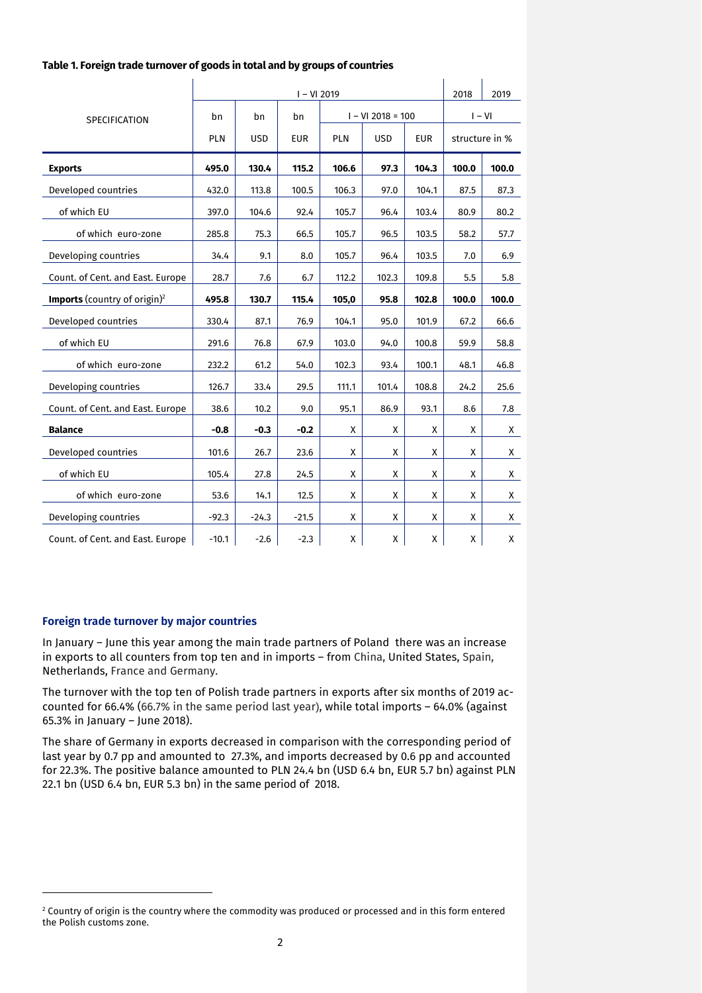|                                                 | $I - VI 2019$ |            |            |       |                     |            |                | 2019     |  |
|-------------------------------------------------|---------------|------------|------------|-------|---------------------|------------|----------------|----------|--|
| <b>SPECIFICATION</b>                            | bn<br>bn      |            | bn         |       | $I - VI 2018 = 100$ |            |                | $I - VI$ |  |
|                                                 | PLN           | <b>USD</b> | <b>EUR</b> | PLN   | <b>USD</b>          | <b>EUR</b> | structure in % |          |  |
| <b>Exports</b>                                  | 495.0         | 130.4      | 115.2      | 106.6 | 97.3                | 104.3      | 100.0          | 100.0    |  |
| Developed countries                             | 432.0         | 113.8      | 100.5      | 106.3 | 97.0                | 104.1      | 87.5           | 87.3     |  |
| of which EU                                     | 397.0         | 104.6      | 92.4       | 105.7 | 96.4                | 103.4      | 80.9           | 80.2     |  |
| of which euro-zone                              | 285.8         | 75.3       | 66.5       | 105.7 | 96.5                | 103.5      | 58.2           | 57.7     |  |
| Developing countries                            | 34.4          | 9.1        | 8.0        | 105.7 | 96.4                | 103.5      | 7.0            | 6.9      |  |
| Count. of Cent. and East. Europe                | 28.7          | 7.6        | 6.7        | 112.2 | 102.3               | 109.8      | 5.5            | 5.8      |  |
| <b>Imports</b> (country of origin) <sup>2</sup> | 495.8         | 130.7      | 115.4      | 105,0 | 95.8                | 102.8      | 100.0          | 100.0    |  |
| Developed countries                             | 330.4         | 87.1       | 76.9       | 104.1 | 95.0                | 101.9      | 67.2           | 66.6     |  |
| of which EU                                     | 291.6         | 76.8       | 67.9       | 103.0 | 94.0                | 100.8      | 59.9           | 58.8     |  |
| of which euro-zone                              | 232.2         | 61.2       | 54.0       | 102.3 | 93.4                | 100.1      | 48.1           | 46.8     |  |
| Developing countries                            | 126.7         | 33.4       | 29.5       | 111.1 | 101.4               | 108.8      | 24.2           | 25.6     |  |
| Count. of Cent. and East. Europe                | 38.6          | 10.2       | 9.0        | 95.1  | 86.9                | 93.1       | 8.6            | 7.8      |  |
| <b>Balance</b>                                  | $-0.8$        | $-0.3$     | $-0.2$     | X     | X                   | X          | X              | X        |  |
| Developed countries                             | 101.6         | 26.7       | 23.6       | X     | X                   | X          | X              | X        |  |
| of which EU                                     | 105.4         | 27.8       | 24.5       | Х     | X                   | X          | X              | X.       |  |
| of which euro-zone                              | 53.6          | 14.1       | 12.5       | X     | X                   | X          | X              | X        |  |
| Developing countries                            | $-92.3$       | $-24.3$    | $-21.5$    | X     | X                   | X          | X              | X        |  |
| Count. of Cent. and East. Europe                | $-10.1$       | $-2.6$     | $-2.3$     | X     | X                   | Χ          | Χ              | X        |  |

#### **Table 1. Foreign trade turnover of goods in total and by groups of countries**

### **Foreign trade turnover by major countries**

-

In January – June this year among the main trade partners of Poland there was an increase in exports to all counters from top ten and in imports – from China, United States, Spain, Netherlands, France and Germany.

The turnover with the top ten of Polish trade partners in exports after six months of 2019 accounted for 66.4% (66.7% in the same period last year), while total imports – 64.0% (against 65.3% in January – June 2018).

The share of Germany in exports decreased in comparison with the corresponding period of last year by 0.7 pp and amounted to 27.3%, and imports decreased by 0.6 pp and accounted for 22.3%. The positive balance amounted to PLN 24.4 bn (USD 6.4 bn, EUR 5.7 bn) against PLN 22.1 bn (USD 6.4 bn, EUR 5.3 bn) in the same period of 2018.

 $2$  Country of origin is the country where the commodity was produced or processed and in this form entered the Polish customs zone.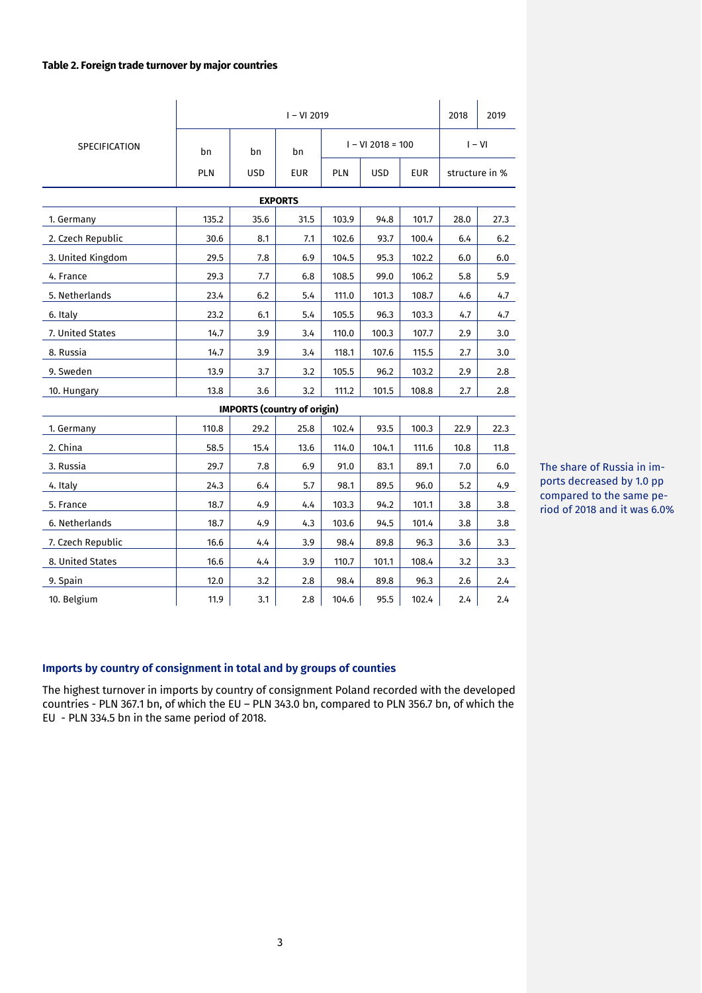### **Table 2. Foreign trade turnover by major countries**

|                      | $I - VI 2019$ |                                    |            |            |                          |          |                | 2019 |  |  |
|----------------------|---------------|------------------------------------|------------|------------|--------------------------|----------|----------------|------|--|--|
| <b>SPECIFICATION</b> | bn            | bn                                 | bn         |            | $I - VI 2018 = 100$      | $I - VI$ |                |      |  |  |
|                      | PLN           | <b>USD</b>                         | <b>EUR</b> | <b>PLN</b> | <b>USD</b><br><b>EUR</b> |          | structure in % |      |  |  |
| <b>EXPORTS</b>       |               |                                    |            |            |                          |          |                |      |  |  |
| 1. Germany           | 135.2         | 35.6                               | 31.5       | 103.9      | 94.8                     | 101.7    | 28.0           | 27.3 |  |  |
| 2. Czech Republic    | 30.6          | 8.1                                | 7.1        | 102.6      | 93.7                     | 100.4    | 6.4            | 6.2  |  |  |
| 3. United Kingdom    | 29.5          | 7.8                                | 6.9        | 104.5      | 95.3                     | 102.2    | $6.0\,$        | 6.0  |  |  |
| 4. France            | 29.3          | 7.7                                | 6.8        | 108.5      | 99.0                     | 106.2    | 5.8            | 5.9  |  |  |
| 5. Netherlands       | 23.4          | 6.2                                | 5.4        | 111.0      | 101.3                    | 108.7    | 4.6            | 4.7  |  |  |
| 6. Italy             | 23.2          | 6.1                                | 5.4        | 105.5      | 96.3                     | 103.3    | 4.7            | 4.7  |  |  |
| 7. United States     | 14.7          | 3.9                                | 3.4        | 110.0      | 100.3                    | 107.7    | 2.9            | 3.0  |  |  |
| 8. Russia            | 14.7          | 3.9                                | 3.4        | 118.1      | 107.6                    | 115.5    | 2.7            | 3.0  |  |  |
| 9. Sweden            | 13.9          | 3.7                                | 3.2        | 105.5      | 96.2                     | 103.2    | 2.9            | 2.8  |  |  |
| 10. Hungary          | 13.8          | 3.6                                | 3.2        | 111.2      | 101.5                    | 108.8    | 2.7            | 2.8  |  |  |
|                      |               | <b>IMPORTS (country of origin)</b> |            |            |                          |          |                |      |  |  |
| 1. Germany           | 110.8         | 29.2                               | 25.8       | 102.4      | 93.5                     | 100.3    | 22.9           | 22.3 |  |  |
| 2. China             | 58.5          | 15.4                               | 13.6       | 114.0      | 104.1                    | 111.6    | 10.8           | 11.8 |  |  |
| 3. Russia            | 29.7          | 7.8                                | 6.9        | 91.0       | 83.1                     | 89.1     | 7.0            | 6.0  |  |  |
| 4. Italy             | 24.3          | 6.4                                | 5.7        | 98.1       | 89.5                     | 96.0     | 5.2            | 4.9  |  |  |
| 5. France            | 18.7          | 4.9                                | 4.4        | 103.3      | 94.2                     | 101.1    | 3.8            | 3.8  |  |  |
| 6. Netherlands       | 18.7          | 4.9                                | 4.3        | 103.6      | 94.5                     | 101.4    | 3.8            | 3.8  |  |  |
| 7. Czech Republic    | 16.6          | 4.4                                | 3.9        | 98.4       | 89.8                     | 96.3     | 3.6            | 3.3  |  |  |
| 8. United States     | 16.6          | 4.4                                | 3.9        | 110.7      | 101.1                    | 108.4    | 3.2            | 3.3  |  |  |
| 9. Spain             | 12.0          | 3.2                                | 2.8        | 98.4       | 89.8                     | 96.3     | 2.6            | 2.4  |  |  |
| 10. Belgium          | 11.9          | 3.1                                | 2.8        | 104.6      | 95.5                     | 102.4    | 2.4            | 2.4  |  |  |

The share of Russia in imports decreased by 1.0 pp compared to the same period of 2018 and it was 6.0%

## **Imports by country of consignment in total and by groups of counties**

The highest turnover in imports by country of consignment Poland recorded with the developed countries - PLN 367.1 bn, of which the EU – PLN 343.0 bn, compared to PLN 356.7 bn, of which the EU - PLN 334.5 bn in the same period of 2018.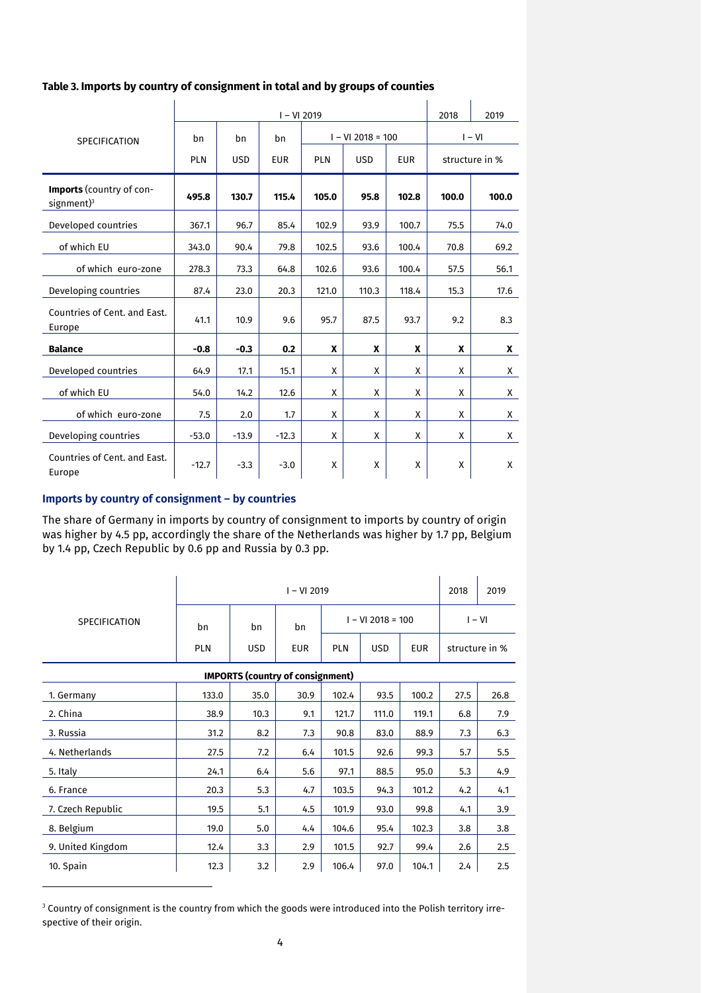## **Table 3. Imports by country of consignment in total and by groups of counties**

|                                                      |                                       |            | 2018       | 2019                                   |       |                |       |       |
|------------------------------------------------------|---------------------------------------|------------|------------|----------------------------------------|-------|----------------|-------|-------|
| <b>SPECIFICATION</b>                                 | $I - VI 2018 = 100$<br>bn<br>bn<br>bn |            |            |                                        |       | $I - VI$       |       |       |
|                                                      | <b>PLN</b>                            | <b>USD</b> | <b>EUR</b> | <b>PLN</b><br><b>USD</b><br><b>EUR</b> |       | structure in % |       |       |
| <b>Imports</b> (country of con-<br>$s$ ignment $)^3$ | 495.8                                 | 130.7      | 115.4      | 105.0                                  | 95.8  | 102.8          | 100.0 | 100.0 |
| Developed countries                                  | 367.1                                 | 96.7       | 85.4       | 102.9                                  | 93.9  | 100.7          | 75.5  | 74.0  |
| of which EU                                          | 343.0                                 | 90.4       | 79.8       | 102.5                                  | 93.6  | 100.4          | 70.8  | 69.2  |
| of which euro-zone                                   | 278.3                                 | 73.3       | 64.8       | 102.6                                  | 93.6  | 100.4          | 57.5  | 56.1  |
| Developing countries                                 | 87.4                                  | 23.0       | 20.3       | 121.0                                  | 110.3 | 118.4          | 15.3  | 17.6  |
| Countries of Cent. and East.<br>Europe               | 41.1                                  | 10.9       | 9.6        | 95.7                                   | 87.5  | 93.7           | 9.2   | 8.3   |
| <b>Balance</b>                                       | $-0.8$                                | $-0.3$     | 0.2        | X                                      | X     | X              | X     | X     |
| Developed countries                                  | 64.9                                  | 17.1       | 15.1       | X                                      | X     | X              | X     | X     |
| of which EU                                          | 54.0                                  | 14.2       | 12.6       | X                                      | X     | X              | X     | X     |
| of which euro-zone                                   | 7.5                                   | 2.0        | 1.7        | X                                      | X     | X              | X     | X     |
| Developing countries                                 | $-53.0$                               | $-13.9$    | $-12.3$    | X                                      | X     | X              | X     | X     |
| Countries of Cent. and East.<br>Europe               | $-12.7$                               | $-3.3$     | $-3.0$     | X                                      | X     | X              | X     | X     |

## **Imports by country of consignment – by countries**

-

The share of Germany in imports by country of consignment to imports by country of origin was higher by 4.5 pp, accordingly the share of the Netherlands was higher by 1.7 pp, Belgium by 1.4 pp, Czech Republic by 0.6 pp and Russia by 0.3 pp.

|                                         |            | 2018       | 2019       |            |                     |            |                |      |  |  |
|-----------------------------------------|------------|------------|------------|------------|---------------------|------------|----------------|------|--|--|
| <b>SPECIFICATION</b>                    | bn         | bn         | bn         |            | $I - VI 2018 = 100$ | $I - VI$   |                |      |  |  |
|                                         | <b>PLN</b> | <b>USD</b> | <b>EUR</b> | <b>PLN</b> | <b>USD</b>          | <b>EUR</b> | structure in % |      |  |  |
| <b>IMPORTS (country of consignment)</b> |            |            |            |            |                     |            |                |      |  |  |
| 1. Germany                              | 133.0      | 35.0       | 30.9       | 102.4      | 93.5                | 100.2      | 27.5           | 26.8 |  |  |
| 2. China                                | 38.9       | 10.3       | 9.1        | 121.7      | 111.0               | 119.1      | 6.8            | 7.9  |  |  |
| 3. Russia                               | 31.2       | 8.2        | 7.3        | 90.8       | 83.0                | 88.9       | 7.3            | 6.3  |  |  |
| 4. Netherlands                          | 27.5       | 7.2        | 6.4        | 101.5      | 92.6                | 99.3       | 5.7            | 5.5  |  |  |
| 5. Italy                                | 24.1       | 6.4        | 5.6        | 97.1       | 88.5                | 95.0       | 5.3            | 4.9  |  |  |
| 6. France                               | 20.3       | 5.3        | 4.7        | 103.5      | 94.3                | 101.2      | 4.2            | 4.1  |  |  |
| 7. Czech Republic                       | 19.5       | 5.1        | 4.5        | 101.9      | 93.0                | 99.8       | 4.1            | 3.9  |  |  |
| 8. Belgium                              | 19.0       | 5.0        | 4.4        | 104.6      | 95.4                | 102.3      | 3.8            | 3.8  |  |  |
| 9. United Kingdom                       | 12.4       | 3.3        | 2.9        | 101.5      | 92.7                | 99.4       | 2.6            | 2.5  |  |  |
| 10. Spain                               | 12.3       | 3.2        | 2.9        | 106.4      | 97.0                | 104.1      | 2.4            | 2.5  |  |  |

<sup>3</sup> Country of consignment is the country from which the goods were introduced into the Polish territory irrespective of their origin.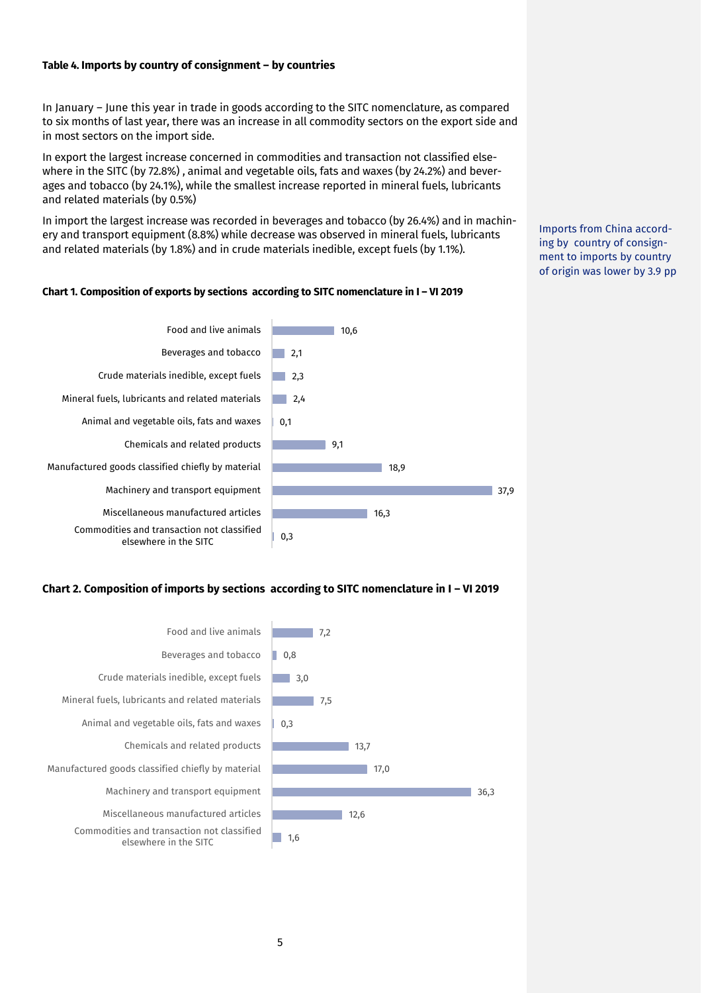## **Table 4. Imports by country of consignment – by countries**

In January – June this year in trade in goods according to the SITC nomenclature, as compared to six months of last year, there was an increase in all commodity sectors on the export side and in most sectors on the import side.

In export the largest increase concerned in commodities and transaction not classified elsewhere in the SITC (by 72.8%) , animal and vegetable oils, fats and waxes (by 24.2%) and beverages and tobacco (by 24.1%), while the smallest increase reported in mineral fuels, lubricants and related materials (by 0.5%)

In import the largest increase was recorded in beverages and tobacco (by 26.4%) and in machinery and transport equipment (8.8%) while decrease was observed in mineral fuels, lubricants and related materials (by 1.8%) and in crude materials inedible, except fuels (by 1.1%).

Imports from China according by country of consignment to imports by country of origin was lower by 3.9 pp

### **Chart 1. Composition of exports by sections according to SITC nomenclature in I – VI 2019**



#### **Chart 2. Composition of imports by sections according to SITC nomenclature in I – VI 2019**